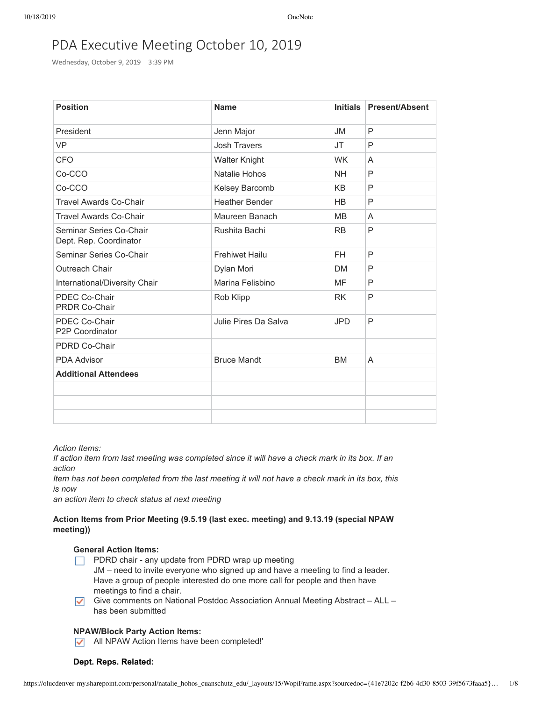# PDA Executive Meeting October 10, 2019

Wednesday, October 9, 2019 3:39 PM

| <b>Position</b>                                   | <b>Name</b>           | <b>Initials</b> | <b>Present/Absent</b> |
|---------------------------------------------------|-----------------------|-----------------|-----------------------|
| President                                         | Jenn Major            | JM              | P                     |
| <b>VP</b>                                         | <b>Josh Travers</b>   | JT              | P                     |
| <b>CFO</b>                                        | <b>Walter Knight</b>  | <b>WK</b>       | A                     |
| Co-CCO                                            | Natalie Hohos         | <b>NH</b>       | P                     |
| Co-CCO                                            | Kelsey Barcomb        | <b>KB</b>       | P                     |
| <b>Travel Awards Co-Chair</b>                     | <b>Heather Bender</b> | <b>HB</b>       | P                     |
| <b>Travel Awards Co-Chair</b>                     | Maureen Banach        | <b>MB</b>       | A                     |
| Seminar Series Co-Chair<br>Dept. Rep. Coordinator | Rushita Bachi         | <b>RB</b>       | P                     |
| Seminar Series Co-Chair                           | <b>Frehiwet Hailu</b> | <b>FH</b>       | P                     |
| Outreach Chair                                    | Dylan Mori            | <b>DM</b>       | P                     |
| International/Diversity Chair                     | Marina Felisbino      | MF              | P                     |
| PDEC Co-Chair<br><b>PRDR Co-Chair</b>             | Rob Klipp             | <b>RK</b>       | P                     |
| PDEC Co-Chair<br>P2P Coordinator                  | Julie Pires Da Salva  | <b>JPD</b>      | P                     |
| PDRD Co-Chair                                     |                       |                 |                       |
| <b>PDA Advisor</b>                                | <b>Bruce Mandt</b>    | <b>BM</b>       | A                     |
| <b>Additional Attendees</b>                       |                       |                 |                       |
|                                                   |                       |                 |                       |
|                                                   |                       |                 |                       |
|                                                   |                       |                 |                       |

*Action Items:*

If action item from last meeting was completed since it will have a check mark in its box. If an *action*

Item has not been completed from the last meeting it will not have a check mark in its box, this *is now*

*an action item to check status at next meeting*

# **Action Items from Prior Meeting (9.5.19 (last exec. meeting) and 9.13.19 (special NPAW meeting))**

# **General Action Items:**

- $\Box$  PDRD chair any update from PDRD wrap up meeting JM – need to invite everyone who signed up and have a meeting to find a leader.
- Have a group of people interested do one more call for people and then have meetings to find a chair.
- Give comments on National Postdoc Association Annual Meeting Abstract ALL has been submitted

### **NPAW/Block Party Action Items:**

All NPAW Action Items have been completed!'

# **Dept. Reps. Related:**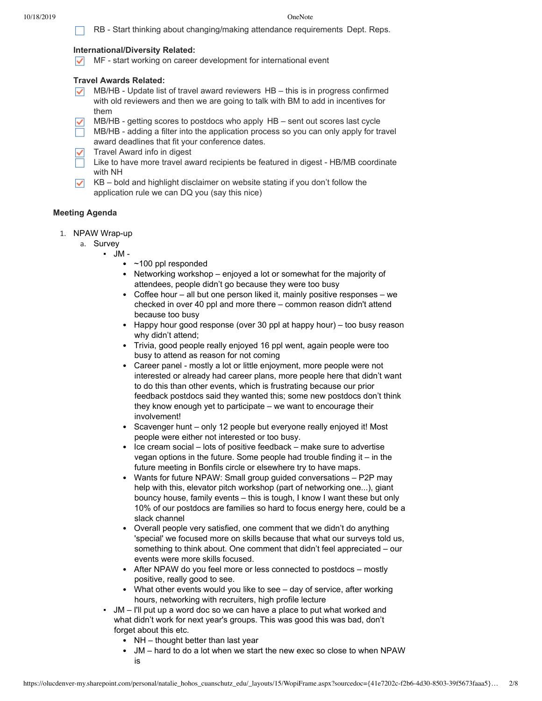RB - Start thinking about changing/making attendance requirements Dept. Reps.

# **International/Diversity Related:**

 $\sqrt{\phantom{a}}$  MF - start working on career development for international event

# **Travel Awards Related:**

- $\triangledown$  MB/HB Update list of travel award reviewers HB this is in progress confirmed with old reviewers and then we are going to talk with BM to add in incentives for them
- MB/HB getting scores to postdocs who apply HB sent out scores last cycle  $\checkmark$
- $\Box$  MB/HB adding a filter into the application process so you can only apply for travel award deadlines that fit your conference dates.
- $\sqrt{\phantom{a}}$  Travel Award info in digest
- $\Box$  Like to have more travel award recipients be featured in digest HB/MB coordinate with NH
- $\triangleright$  KB bold and highlight disclaimer on website stating if you don't follow the application rule we can DQ you (say this nice)

# **Meeting Agenda**

- 1. NPAW Wrap-up
	- a. Survey
		- JM
			- ~100 ppl responded
			- Networking workshop enjoyed a lot or somewhat for the majority of attendees, people didn't go because they were too busy
			- Coffee hour all but one person liked it, mainly positive responses we checked in over 40 ppl and more there – common reason didn't attend because too busy
			- Happy hour good response (over 30 ppl at happy hour) too busy reason why didn't attend;
			- Trivia, good people really enjoyed 16 ppl went, again people were too busy to attend as reason for not coming
			- Career panel mostly a lot or little enjoyment, more people were not interested or already had career plans, more people here that didn't want to do this than other events, which is frustrating because our prior feedback postdocs said they wanted this; some new postdocs don't think they know enough yet to participate – we want to encourage their involvement!
			- Scavenger hunt only 12 people but everyone really enjoyed it! Most people were either not interested or too busy.
			- Ice cream social lots of positive feedback make sure to advertise vegan options in the future. Some people had trouble finding it – in the future meeting in Bonfils circle or elsewhere try to have maps.
			- Wants for future NPAW: Small group guided conversations P2P may help with this, elevator pitch workshop (part of networking one...), giant bouncy house, family events – this is tough, I know I want these but only 10% of our postdocs are families so hard to focus energy here, could be a slack channel
			- Overall people very satisfied, one comment that we didn't do anything 'special' we focused more on skills because that what our surveys told us, something to think about. One comment that didn't feel appreciated – our events were more skills focused.
			- After NPAW do you feel more or less connected to postdocs mostly positive, really good to see.
			- What other events would you like to see day of service, after working hours, networking with recruiters, high profile lecture
			- JM I'll put up a word doc so we can have a place to put what worked and what didn't work for next year's groups. This was good this was bad, don't forget about this etc.
				- NH thought better than last year
				- JM hard to do a lot when we start the new exec so close to when NPAW is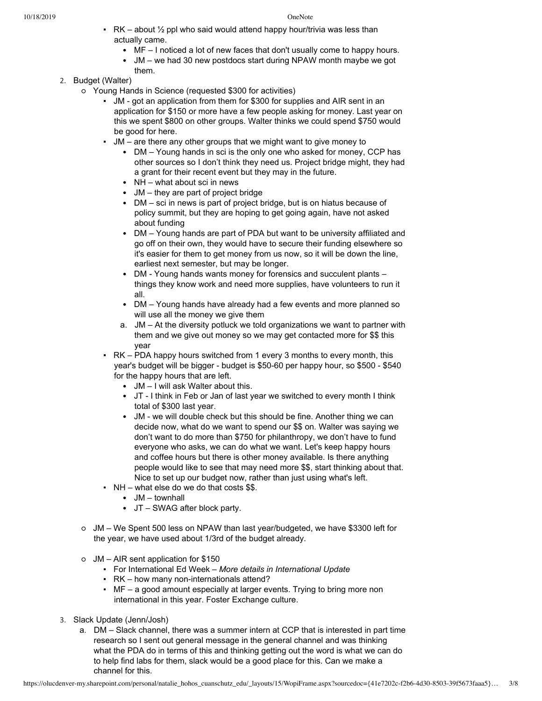- $\cdot$  RK about  $\frac{1}{2}$  ppl who said would attend happy hour/trivia was less than actually came.
	- MF I noticed a lot of new faces that don't usually come to happy hours.
	- JM we had 30 new postdocs start during NPAW month maybe we got them.
- 2. Budget (Walter)
	- Young Hands in Science (requested \$300 for activities)
		- JM got an application from them for \$300 for supplies and AIR sent in an application for \$150 or more have a few people asking for money. Last year on this we spent \$800 on other groups. Walter thinks we could spend \$750 would be good for here.
		- JM are there any other groups that we might want to give money to
			- DM Young hands in sci is the only one who asked for money, CCP has other sources so I don't think they need us. Project bridge might, they had a grant for their recent event but they may in the future.
			- NH what about sci in news
			- JM they are part of project bridge
			- DM sci in news is part of project bridge, but is on hiatus because of policy summit, but they are hoping to get going again, have not asked about funding
			- DM Young hands are part of PDA but want to be university affiliated and go off on their own, they would have to secure their funding elsewhere so it's easier for them to get money from us now, so it will be down the line, earliest next semester, but may be longer.
			- DM Young hands wants money for forensics and succulent plants things they know work and need more supplies, have volunteers to run it all.
			- DM Young hands have already had a few events and more planned so will use all the money we give them
			- a. JM At the diversity potluck we told organizations we want to partner with them and we give out money so we may get contacted more for \$\$ this year
		- RK PDA happy hours switched from 1 every 3 months to every month, this year's budget will be bigger - budget is \$50-60 per happy hour, so \$500 - \$540 for the happy hours that are left.
			- JM I will ask Walter about this.
			- JT I think in Feb or Jan of last year we switched to every month I think total of \$300 last year.
			- JM we will double check but this should be fine. Another thing we can decide now, what do we want to spend our \$\$ on. Walter was saying we don't want to do more than \$750 for philanthropy, we don't have to fund everyone who asks, we can do what we want. Let's keep happy hours and coffee hours but there is other money available. Is there anything people would like to see that may need more \$\$, start thinking about that. Nice to set up our budget now, rather than just using what's left.
		- $\bullet$  NH what else do we do that costs \$\$.
			- JM townhall
			- JT SWAG after block party.
	- JM We Spent 500 less on NPAW than last year/budgeted, we have \$3300 left for the year, we have used about 1/3rd of the budget already.
	- JM AIR sent application for \$150
		- For International Ed Week *More details in International Update*
		- RK how many non-internationals attend?
		- MF a good amount especially at larger events. Trying to bring more non international in this year. Foster Exchange culture.
- 3. Slack Update (Jenn/Josh)
	- a. DM Slack channel, there was a summer intern at CCP that is interested in part time research so I sent out general message in the general channel and was thinking what the PDA do in terms of this and thinking getting out the word is what we can do to help find labs for them, slack would be a good place for this. Can we make a channel for this.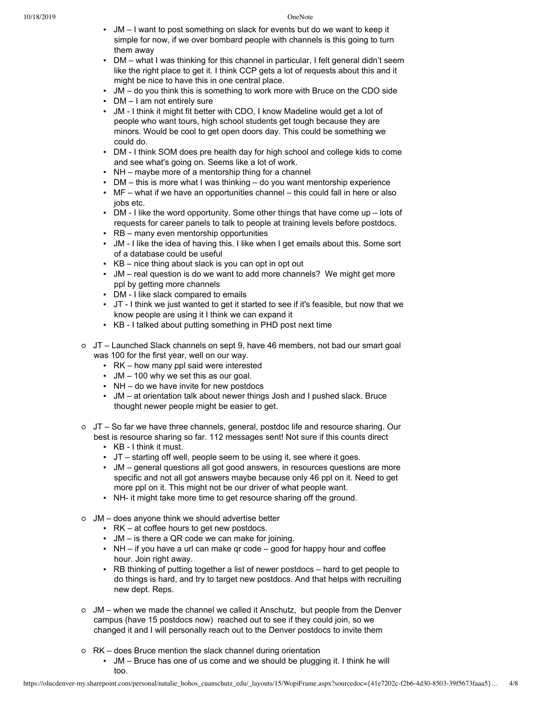- JM I want to post something on slack for events but do we want to keep it simple for now, if we over bombard people with channels is this going to turn them away
- DM what I was thinking for this channel in particular, I felt general didn't seem like the right place to get it. I think CCP gets a lot of requests about this and it might be nice to have this in one central place.
- JM do you think this is something to work more with Bruce on the CDO side
- $\blacksquare$  DM I am not entirely sure
- JM I think it might fit better with CDO, I know Madeline would get a lot of people who want tours, high school students get tough because they are minors. Would be cool to get open doors day. This could be something we could do.
- DM I think SOM does pre health day for high school and college kids to come and see what's going on. Seems like a lot of work.
- NH maybe more of a mentorship thing for a channel
- **DM** this is more what I was thinking do you want mentorship experience
- $\blacksquare$  MF what if we have an opportunities channel this could fall in here or also jobs etc.
- DM I like the word opportunity. Some other things that have come up lots of requests for career panels to talk to people at training levels before postdocs.
- RB many even mentorship opportunities
- JM I like the idea of having this. I like when I get emails about this. Some sort of a database could be useful
- $\cdot$  KB nice thing about slack is you can opt in opt out
- JM real question is do we want to add more channels? We might get more ppl by getting more channels
- DM I like slack compared to emails
- JT I think we just wanted to get it started to see if it's feasible, but now that we know people are using it I think we can expand it
- KB I talked about putting something in PHD post next time
- JT Launched Slack channels on sept 9, have 46 members, not bad our smart goal was 100 for the first year, well on our way.
	- RK how many ppl said were interested
	- $\bullet$  JM 100 why we set this as our goal.
	- NH do we have invite for new postdocs
	- JM at orientation talk about newer things Josh and I pushed slack. Bruce thought newer people might be easier to get.
- JT So far we have three channels, general, postdoc life and resource sharing. Our best is resource sharing so far. 112 messages sent! Not sure if this counts direct
	- KB I think it must.
	- JT starting off well, people seem to be using it, see where it goes.
	- JM general questions all got good answers, in resources questions are more specific and not all got answers maybe because only 46 ppl on it. Need to get more ppl on it. This might not be our driver of what people want.
	- NH- it might take more time to get resource sharing off the ground.
- JM does anyone think we should advertise better
	- RK at coffee hours to get new postdocs.
	- $\blacksquare$  JM is there a QR code we can make for joining.
	- $\blacksquare$  NH if you have a url can make gr code good for happy hour and coffee hour. Join right away.
	- RB thinking of putting together a list of newer postdocs hard to get people to do things is hard, and try to target new postdocs. And that helps with recruiting new dept. Reps.
- JM when we made the channel we called it Anschutz, but people from the Denver campus (have 15 postdocs now) reached out to see if they could join, so we changed it and I will personally reach out to the Denver postdocs to invite them
- RK does Bruce mention the slack channel during orientation
	- JM Bruce has one of us come and we should be plugging it. I think he will too.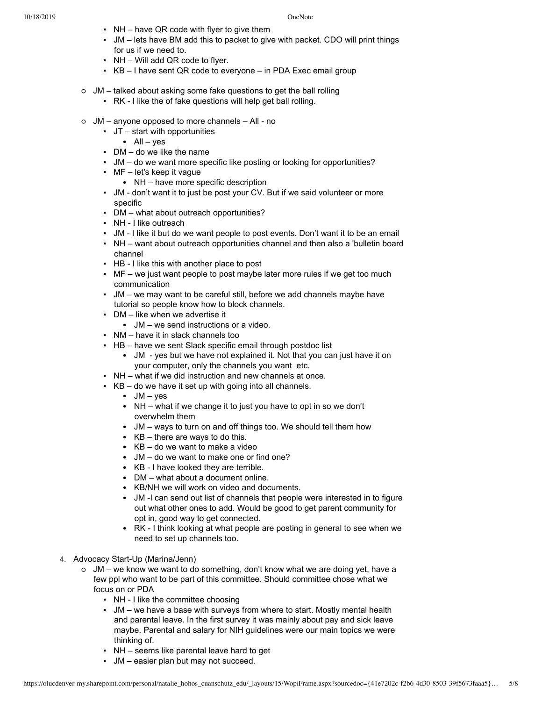- $\cdot$  NH have QR code with flyer to give them
- JM lets have BM add this to packet to give with packet. CDO will print things for us if we need to.
- $\bullet$  NH Will add QR code to flyer.
- $\cdot$  KB I have sent QR code to everyone in PDA Exec email group
- JM talked about asking some fake questions to get the ball rolling
	- RK I like the of fake questions will help get ball rolling.
- $\circ$  JM anyone opposed to more channels All no
	- JT start with opportunities
		- $All yes$
	- $\bullet$  DM do we like the name
	- JM do we want more specific like posting or looking for opportunities?
	- $\blacksquare$  MF let's keep it vague
		- NH have more specific description
	- JM don't want it to just be post your CV. But if we said volunteer or more specific
	- DM what about outreach opportunities?
	- NH I like outreach
	- JM I like it but do we want people to post events. Don't want it to be an email
	- NH want about outreach opportunities channel and then also a 'bulletin board channel
	- HB I like this with another place to post
	- $\blacksquare$  MF we just want people to post maybe later more rules if we get too much communication
	- JM we may want to be careful still, before we add channels maybe have tutorial so people know how to block channels.
	- DM like when we advertise it
		- JM we send instructions or a video.
	- NM have it in slack channels too
	- **HB** have we sent Slack specific email through postdoc list
		- JM yes but we have not explained it. Not that you can just have it on your computer, only the channels you want etc.
	- NH what if we did instruction and new channels at once.
	- $\cdot$  KB do we have it set up with going into all channels.
		- $\bullet$  JM yes
		- NH what if we change it to just you have to opt in so we don't overwhelm them
		- JM ways to turn on and off things too. We should tell them how
		- KB there are ways to do this.
		- KB do we want to make a video
		- JM do we want to make one or find one?
		- KB I have looked they are terrible.
		- DM what about a document online.
		- KB/NH we will work on video and documents.
		- JM -I can send out list of channels that people were interested in to figure out what other ones to add. Would be good to get parent community for opt in, good way to get connected.
		- RK I think looking at what people are posting in general to see when we need to set up channels too.
- 4. Advocacy Start-Up (Marina/Jenn)
	- JM we know we want to do something, don't know what we are doing yet, have a few ppl who want to be part of this committee. Should committee chose what we focus on or PDA
		- NH I like the committee choosing
		- JM we have a base with surveys from where to start. Mostly mental health and parental leave. In the first survey it was mainly about pay and sick leave maybe. Parental and salary for NIH guidelines were our main topics we were thinking of.
		- NH seems like parental leave hard to get
		- JM easier plan but may not succeed.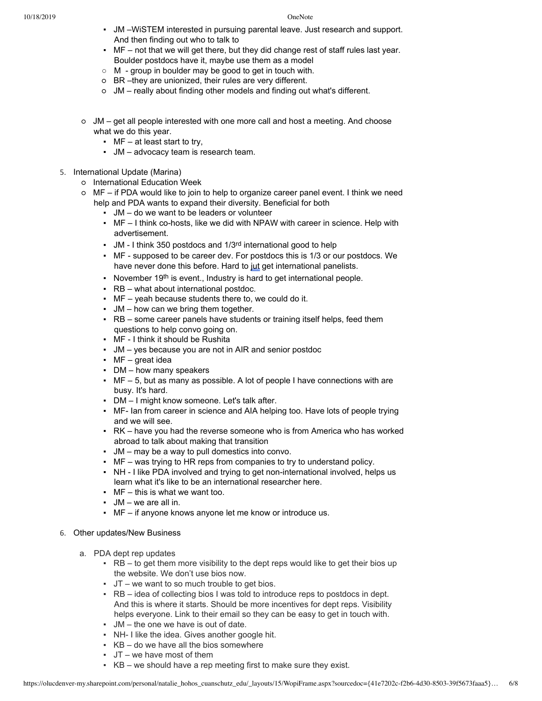- JM –WiSTEM interested in pursuing parental leave. Just research and support. And then finding out who to talk to
- $\blacksquare$  MF not that we will get there, but they did change rest of staff rules last year. Boulder postdocs have it, maybe use them as a model
- M group in boulder may be good to get in touch with.
- BR –they are unionized, their rules are very different.
- JM really about finding other models and finding out what's different.
- $\circ$  JM get all people interested with one more call and host a meeting. And choose what we do this year.
	- $\blacksquare$  MF at least start to try,
	- JM advocacy team is research team.
- 5. International Update (Marina)
	- International Education Week
	- MF if PDA would like to join to help to organize career panel event. I think we need help and PDA wants to expand their diversity. Beneficial for both
		- JM do we want to be leaders or volunteer
		- MF I think co-hosts, like we did with NPAW with career in science. Help with advertisement.
		- JM I think 350 postdocs and 1/3<sup>rd</sup> international good to help
		- MF supposed to be career dev. For postdocs this is 1/3 or our postdocs. We have never done this before. Hard to jut get international panelists.
		- November 19<sup>th</sup> is event., Industry is hard to get international people.
		- RB what about international postdoc.
		- $\blacksquare$  MF yeah because students there to, we could do it.
		- $\bullet$  JM how can we bring them together.
		- RB some career panels have students or training itself helps, feed them questions to help convo going on.
		- MF I think it should be Rushita
		- JM yes because you are not in AIR and senior postdoc
		- $\cdot$  MF great idea
		- DM how many speakers
		- $\blacksquare$  MF 5, but as many as possible. A lot of people I have connections with are busy. It's hard.
		- DM I might know someone. Let's talk after.
		- MF- Ian from career in science and AIA helping too. Have lots of people trying and we will see.
		- RK have you had the reverse someone who is from America who has worked abroad to talk about making that transition
		- JM may be a way to pull domestics into convo.
		- MF was trying to HR reps from companies to try to understand policy.
		- NH I like PDA involved and trying to get non-international involved, helps us learn what it's like to be an international researcher here.
		- $\blacksquare$  MF this is what we want too.
		- JM we are all in.
		- MF if anyone knows anyone let me know or introduce us.

# 6. Other updates/New Business

- a. PDA dept rep updates
	- $\cdot$  RB to get them more visibility to the dept reps would like to get their bios up the website. We don't use bios now.
	- $\bullet$  JT we want to so much trouble to get bios.
	- RB idea of collecting bios I was told to introduce reps to postdocs in dept. And this is where it starts. Should be more incentives for dept reps. Visibility helps everyone. Link to their email so they can be easy to get in touch with.
	- JM the one we have is out of date.
	- NH- I like the idea. Gives another google hit.
	- $\cdot$  KB do we have all the bios somewhere
	- $\cdot$  JT we have most of them
	- $\cdot$  KB we should have a rep meeting first to make sure they exist.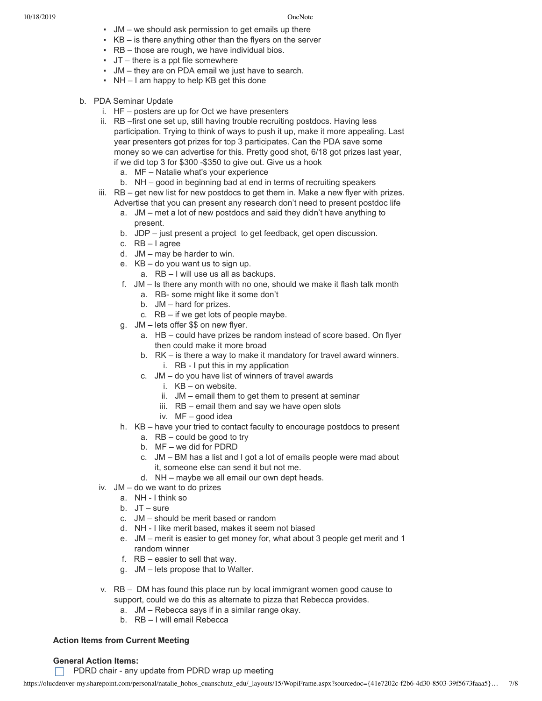- JM we should ask permission to get emails up there
- $\cdot$  KB is there anything other than the flyers on the server
- $\cdot$  RB those are rough, we have individual bios.
- $\cdot$  JT there is a ppt file somewhere
- JM they are on PDA email we just have to search.
- NH I am happy to help KB get this done
- b. PDA Seminar Update
	- i. HF posters are up for Oct we have presenters
	- ii. RB –first one set up, still having trouble recruiting postdocs. Having less participation. Trying to think of ways to push it up, make it more appealing. Last year presenters got prizes for top 3 participates. Can the PDA save some money so we can advertise for this. Pretty good shot, 6/18 got prizes last year, if we did top 3 for \$300 -\$350 to give out. Give us a hook
		- a. MF Natalie what's your experience
		- b. NH good in beginning bad at end in terms of recruiting speakers
	- iii. RB get new list for new postdocs to get them in. Make a new flyer with prizes. Advertise that you can present any research don't need to present postdoc life
		- a. JM met a lot of new postdocs and said they didn't have anything to present.
		- b. JDP just present a project to get feedback, get open discussion.
		- c. RB I agree
		- d. JM may be harder to win.
		- e. KB do you want us to sign up.
			- a. RB I will use us all as backups.
		- f. JM Is there any month with no one, should we make it flash talk month
			- a. RB- some might like it some don't
			- b. JM hard for prizes.
			- c. RB if we get lots of people maybe.
		- g. JM lets offer \$\$ on new flyer.
			- a. HB could have prizes be random instead of score based. On flyer then could make it more broad
			- b. RK is there a way to make it mandatory for travel award winners.
				- i. RB I put this in my application
			- c. JM do you have list of winners of travel awards
				- i. KB on website.
				- ii. JM email them to get them to present at seminar
				- iii. RB email them and say we have open slots
				- iv. MF good idea
		- h. KB have your tried to contact faculty to encourage postdocs to present
			- a. RB could be good to try
			- b. MF we did for PDRD
			- c. JM BM has a list and I got a lot of emails people were mad about it, someone else can send it but not me.
			- d. NH maybe we all email our own dept heads.
	- iv. JM do we want to do prizes
		- a. NH I think so
		- b. JT sure
		- c. JM should be merit based or random
		- d. NH I like merit based, makes it seem not biased
		- e. JM merit is easier to get money for, what about 3 people get merit and 1 random winner
		- f. RB easier to sell that way.
		- g. JM lets propose that to Walter.
	- v. RB DM has found this place run by local immigrant women good cause to support, could we do this as alternate to pizza that Rebecca provides.
		- a. JM Rebecca says if in a similar range okay.
		- b. RB I will email Rebecca

### **Action Items from Current Meeting**

### **General Action Items:**

PDRD chair - any update from PDRD wrap up meeting